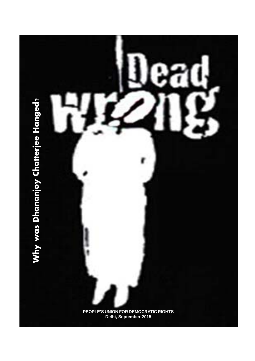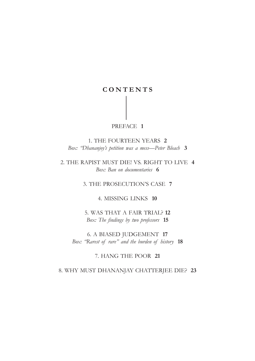## **C O N T E N T S**

## PREFACE **1**

1. THE FOURTEEN YEARS **2** *Box: "Dhananjoy's petition was a mess—Peter Bleach* **3**

2. THE RAPIST MUST DIE! VS. RIGHT TO LIVE **4** *Box: Ban on documentaries* **6**

3. THE PROSECUTION'S CASE **7**

4. MISSING LINKS **10**

5. WAS THAT A FAIR TRIAL? **12** *Box: The findings by two professors* **15**

6. A BIASED JUDGEMENT **17** *Box: "Rarest of rare" and the burden of history* **18**

7. HANG THE POOR **21**

8. WHY MUST DHANANJAY CHATTERJEE DIE? **23**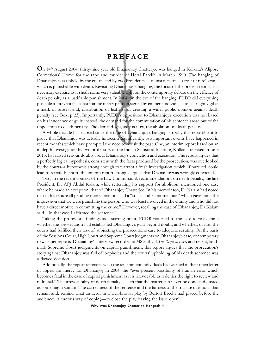## **P R E F A C E**

**O**n 14th August 2004, thirty-nine year old Dhananjoy Chatterjee was hanged in Kolkata's Alipore Correctional Home for the rape and murder of Hetal Parekh in March 1990. The hanging of Dhananjoy was upheld by the courts and by two Presidents as an instance of a "rarest of rare" crime which is punishable with death. Revisiting Dhananjoy's hanging, the focus of the present report, is a necessary exercise as it sheds some very valuable light on the contemporary debate on the efficacy of death penalty as a justifiable punishment. In 2004, on the eve of the hanging, PUDR did everything possible to prevent it—a last minute mercy petition signed by eminent individuals, an all-night vigil as a mark of protest and, distribution of leaflets for creating a wider public opinion against death penalty (see Box, p 23). Importantly, PUDR's opposition to Dhananjoy's execution was not based on his innocence or guilt; instead, the demand for the commutation of his sentence arose out of the opposition to death penalty. The demand was, as it is now, the abolition of death penalty.

A whole decade has elapsed since the time of Dhananjoy's hanging; so, why this report? Is it to prove that Dhananjoy was actually innocent? Significantly, two important events have happened in recent months which have prompted the need to revisit the past. One, an interim report based on an in depth investigation by two professors of the Indian Statistical Institute, Kolkata, released in June 2015, has raised serious doubts about Dhananjoy's conviction and execution. The report argues that a perfectly logical hypothesis, consistent with the facts produced by the prosecution, was overlooked by the courts--a hypothesis strong enough to warrant a fresh investigation, which, if pursued, could lead to retrial. In short, the interim report strongly argues that Dhananjoywas wrongly convicted.

Two, in the recent context of the Law Commission's recommendations on death penalty, the late President, Dr APJ Abdul Kalam, while reiterating his support for abolition, mentioned one case where he made an exception, that of Dhananjoy Chatterjee. In his memoir too, Dr Kalam had noted that in his tenure all pending mercy petitions had a "social and economic bias" which gave him "the impression that we were punishing the person who was least involved in the enmity and who did not have a direct motive in committing the crime." However, recalling the case of Dhananjoy, Dr Kalam said, "In that case I affirmed the sentence".

Taking the professors' findings as a starting point, PUDR returned to the case to re-examine whether the prosecution had established Dhananjoy's guilt beyond doubt, and whether, or not, the courts had fulfilled their task of subjecting the prosecution's case to adequate scrutiny. On the basis of the Sessions Court, High Court and Supreme Court judgments on Dhananjoy's case, contemporary newspaper reports, Dhananjoy's interview recorded in MS Sathyu's*The Right to Live,* and recent, landmark Supreme Court judgements on capital punishment, this report argues that the prosecution's story against Dhananjoy was full of loopholes and the courts' upholding of his death sentence was a flawed decision.

Additionally, the report reiterates what the ten eminent individuals had warned in their open letter of appeal for mercy for Dhananjoy in 2004, the "ever-present possibility of human error which becomes fatal in the case of capital punishment as it is irrevocable as it denies the right to review and redressal." The irrevocability of death penalty is such that the matter can never be done and dusted as some might want it. The correctness of the sentence and the fairness of the trial are questions that remain and, remind what an actor in a well-known play by Bertolt Brecht had placed before the audience: "a curious way of coping—to close the play leaving the issue open".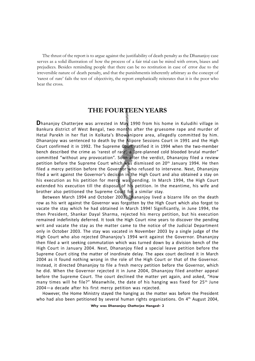The thrust of the report is to argue against the justifiability of death penalty as the Dhananjoy case serves as a solid illustration of how the process of a fair trial can be mired with errors, biases and prejudices. Besides reminding people that there can be no restitution in case of error due to the irreversible nature of death penalty, and that the punishmentis inherently arbitrary as the concept of 'rarest of rare' fails the test of objectivity, the report emphatically reiterates that it is the poor who bear the cross.

## **THE FOURTEEN YEARS**

**D**hananjoy Chatterjee was arrested in May 1990 from his home in Kuludihi village in Bankura district of West Bengal, two months after the gruesome rape and murder of Hetal Parekh in her flat in Kolkata's Bhowanipore area, allegedly committed by him. Dhananjoy was sentenced to death by the Alipore Sessions Court in 1991 and the High Court confirmed it in 1992. The Supreme Court ratified it in 1994 when the two-member bench described the crime as 'rarest of rare', a "pre-planned cold blooded brutal murder" committed "without any provocation". Soon after the verdict, Dhananjoy filed a review petition before the Supreme Court which was dismissed on 20<sup>th</sup> January 1994. He then filed a mercy petition before the Governor who refused to intervene. Next, Dhananjoy filed a writ against the Governor's decision in the High Court and also obtained a stay on his execution as his petition for mercy was pending. In March 1994, the High Court extended his execution till the disposal of his petition. In the meantime, his wife and brother also petitioned the Supreme Court for a similar stay.

Between March 1994 and October 2003, Dhananjoy lived a bizarre life on the death row as his writ against the Governor was forgotten by the High Court which also forgot to vacate the stay which he had obtained in March 1994! Significantly, in June 1994, the then President, Shankar Dayal Sharma, rejected his mercy petition, but his execution remained indefinitely deferred. It took the High Court nine years to discover the pending writ and vacate the stay as the matter came to the notice of the Judicial Department only in October 2003. The stay was vacated in November 2003 by a single judge of the High Court who also rejected Dhananjoy's 1994 writ against the Governor. Dhananjoy then filed a writ seeking commutation which was turned down by a division bench of the High Court in January 2004. Next, Dhananjoy filed a special leave petition before the Supreme Court citing the matter of inordinate delay. The apex court declined it in March 2004 as it found nothing wrong in the role of the High Court or that of the Governor. Instead, it directed Dhananjoy to file a fresh mercy petition before the Governor, which he did. When the Governor rejected it in June 2004, Dhananjoy filed another appeal before the Supreme Court. The court declined the matter yet again, and asked, "How many times will he file?" Meanwhile, the date of his hanging was fixed for 25<sup>th</sup> June 2004—a decade after his first mercy petition was rejected.

However, the Home Ministry stayed the hanging as the matter was before the President who had also been petitioned by several human rights organizations. On 4<sup>th</sup> August 2004,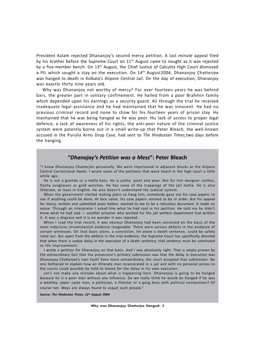President Kalam rejected Dhananjoy's second mercy petition. A last minute appeal filed by his brother before the Supreme Court on  $11<sup>th</sup>$  August came to nought as it was rejected by a five-member bench. On 13<sup>th</sup> August, the Chief Justice of Calcutta High Court dismissed a PIL which sought a stay on the execution. On 14<sup>th</sup> August2004, Dhananjoy Chatterjee was hanged to death in Kolkata's Alipore Central Jail. On the day of execution, Dhananjoy was exactly thirty nine years old.

Why was Dhananjoy not worthy of mercy? For over fourteen years he was behind bars, the greater part in solitary confinement. He hailed from a poor Brahmin family which depended upon his earnings as a security guard. All through the trial he received inadequate legal assistance and he had maintained that he was innocent. He had no previous criminal record and none to show for his fourteen years of prison stay. He maintained that he was being hanged as he was poor. His lack of access to proper legal defence, a lack of awareness of his rights, the anti-poor nature of the criminal justice system were patently borne out in a small write-up that Peter Bleach, the well-known accused in the Purulia Arms Drop Case, had sent to *The Hindustan Times,*two days before the hanging.

#### **"***Dhanajay's Petition was a Mess***": Peter Bleach**

"I knew Dhananjoy Chatterjee personally. We were imprisoned in adjacent blocks at the Alipore Central Correctional Home. I wrote some of the petitions that were heard in the high court a little while ago.

He is not a goonda or a mafia boss. He is polite, quiet and poor. Not for him designer clothes, flashy sunglasses or gold watches. He has none of the trappings of the jail mafia. He is also illiterate, at least in English. He also doesn't understand the judicial system.

When the government started making plans to hang him, somebody gave me his case papers to see if anything could be done. At face value, his case papers seemed to be in order. But his appeal for mercy, written and submitted years before, seemed to me to be a ridiculous document. It made no sense. Through an interpreter I asked him what he had said in his petition. He told me he didn't know what he had said — another prisoner who worked for the jail welfare department had written it. It was a disgrace and it is no wonder it was rejected.

When I read the trial record, it was obvious Dhananjoy had been convicted on the basis of the most indecisive circumstantial evidence imaginable. There were serious defects in the evidence of certain witnesses. On that basis alone, a conviction, let alone a death sentence, could be safely ruled out. But apart from the defects in the trial evidence, the Supreme Court has specifically directed that when there is undue delay in the execution of a death sentence, that sentence must be commuted to life imprisonment.

I wrote a petition for Dhananjoy on that basis. And I was absolutely right. That is amply proven by the extraordinary fact that the prosecutor's primary submission was that the delay in execution was Dhananjoy Chatterjee's own fault! Even more extraordinary, the court accepted that submission. No one bothered to explain how an illiterate man incarcerated in a jail and with no personal access to the courts could possibly be held to blame for the delay in his own execution.

Let's not make any mistake about what is happening here. Dhananjoy is going to be hanged because he is a poor man without any influence. Do we really think he would be hanged if he was a wealthy, upper caste man, a politician, a filmstar or a gang boss with political connections? Of course not. Ways are always found to acquit such people."

*Source: The Hindustan Times, 12th August 2004*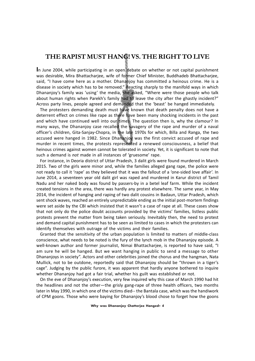## **THE RAPIST MUST HANG! VS. THE RIGHT TO LIVE**

**I**n June 2004, while participating in an open debate on whether or not capital punishment was desirable, Mira Bhattacharjee, wife of former Chief Minister, Buddhadeb Bhattacharjee, said, "I have come here as a mother. Dhananjoy has committed a heinous crime. He is a disease in society which has to be removed." Reacting sharply to the manifold ways in which Dhananjoy's family was 'using' the media, she asked, "Where were those people who talk about human rights when Parekh's family had to leave the city after the ghastly incident?" Across party lines, people agreed and demanded that the 'beast' be hanged immediately.

The protesters demanding death must have known that death penalty does not have a deterrent effect on crimes like rape as there have been many shocking incidents in the past and which have continued well into our times. The question then is, why the clamour? In many ways, the Dhananjoy case recalled the savagery of the rape and murder of a naval officer's children, Gita-Sanjay-Chopra, in the late 1970s for which, Billa and Ranga, the two accused were hanged in 1982. Since Dhananjoy was the first convict accused of rape and murder in recent times, the protests represented a renewed consciousness, a belief that heinous crimes against women cannot be tolerated in society. Yet, it is significant to note that such a demand is *not* made in all instances of 'gruesome' rape.

For instance, in Deoria district of Uttar Pradesh, 3 dalit girls were found murdered in March 2015. Two of the girls were minor and, while the families alleged gang rape, the police were not ready to call it 'rape' as they believed that it was the fallout of a 'one-sided love affair'. In June 2014, a seventeen year old dalit girl was raped and murdered in Karur district of Tamil Nadu and her naked body was found by passers-by in a betel leaf farm. While the incident created tensions in the area, there was hardly any protest elsewhere. The same year, in May 2014, the incident of hanging and raping of two dalit cousins in Badaun, Uttar Pradesh, which sent shock waves, reached an entirely unpredictable ending as the initial post-mortem findings were set aside by the CBI which insisted that it wasn't a case of rape at all. These cases show that not only do the police doubt accounts provided by the victims' families, listless public protests prevent the matter from being taken seriously. Inevitably then, the need to protest and demand capital punishment has to be seen as limited to cases in which the protesters can identify themselves with outrage of the victims and their families.

Granted that the sensitivity of the urban population is limited to matters of middle-class conscience, what needs to be noted is the fury of the lynch mob in the Dhananjoy episode. A well-known author and former journalist, Nimai Bhattacharjee, is reported to have said, "I am sure he will be hanged. But we want hanging in public to send a message to other Dhananjoys in society". Actors and other celebrities joined the chorus and the hangman, Nata Mullick, not to be outdone, reportedly said that Dhananjoy should be "thrown in a tiger's cage". Judging by the public furore, it was apparent that hardly anyone bothered to inquire whether Dhananjoy had got a fair trial, whether his guilt was established or not.

On the eve of Dhananjoy's execution, very few inquired why this case of March 1990 had hit the headlines and not the other—the grisly gang-rape of three health officers, two months later in May 1990, in which one of the victims died-- the Bantala case, which was the handiwork of CPM goons. Those who were baying for Dhananjoy's blood chose to forget how the goons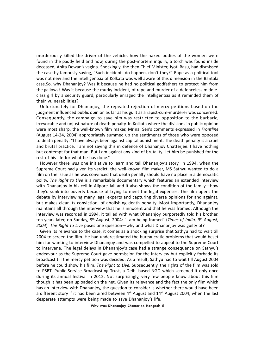murderously killed the driver of the vehicle, how the naked bodies of the women were found in the paddy field and how, during the post-mortem inquiry, a torch was found inside deceased, Anita Dewan's vagina. Shockingly, the then Chief Minister, Jyoti Basu, had dismissed the case by famously saying, "Such incidents do happen, don't they?" Rape as a political tool was not new and the intelligentsia of Kolkata was well aware of this dimension in the Bantala case.So, why Dhananjoy? Was it because he had no political godfathers to protect him from the gallows? Was it because the murky incident, of rape and murder of a defenceless middleclass girl by a security guard, particularly enraged the intelligentsia as it reminded them of their vulnerabilities?

Unfortunately for Dhananjoy, the repeated rejection of mercy petitions based on the judgment influenced public opinion as far as his guilt as a rapist-cum-murderer was concerned. Consequently, the campaign to save him was restricted to opposition to the barbaric, irrevocable and unjust nature of death penalty. In Kolkata where the divisions in public opinion were most sharp, the well-known film maker, Mrinal Sen's comments expressed in *Frontline* (August 14-24, 2004) appropriately summed up the sentiments of those who were opposed to death penalty: "I have always been against capital punishment. The death penalty is a cruel and brutal practice. I am not saying this in defence of Dhananjoy Chatterjee. I have nothing but contempt for that man. But I am against any kind of brutality. Let him be punished for the rest of his life for what he has done."

However there *was* one initiative to learn and tell Dhananjoy's story. In 1994, when the Supreme Court had given its verdict, the well-known film maker, MS Sathyu wanted to do a film on the issue as he was convinced that death penalty should have no place in a democratic polity. *The Right to Live* is a remarkable documentary which features an extended interview with Dhananjoy in his cell in Alipore Jail and it also shows the condition of the family—how they'd sunk into poverty because of trying to meet the legal expenses. The film opens the debate by interviewing many legal experts and capturing diverse opinions for and against, but makes clear its conviction, of abolishing death penalty. Most importantly, Dhananjoy maintains all through the interview that he is innocent and that he was framed. Although the interview was recorded in 1994, it tallied with what Dhananjoy purportedly told his brother, ten years later, on Sunday, 8th August, 2004: "I am being framed" (*Times of India, 9th August, 2004*). *The Right to Live* poses one question—why and what Dhananjoy was guilty of?

Given its relevance to the case, it comes as a shocking surprise that Sathyu had to wait till 2004 to screen the film. He had underestimated the bureaucratic problems that would beset him for wanting to interview Dhananjoy and was compelled to appeal to the Supreme Court to intervene. The legal delays in Dhananjoy's case had a strange consequence on Sathyu's endeavour as the Supreme Court gave permission for the interview but explicitly forbade its broadcast till the mercy petition was decided. As a result, Sathyu had to wait till August 2004 before he could show his film, *The Right to Live.* Subsequently, the rights of the film was sold to PSBT, Public Service Broadcasting Trust, a Delhi based NGO which screened it only once during its annual festival in 2012. Not surprisingly, very few people know about this film though it has been uploaded on the net. Given its relevance and the fact the only film which has an interview with Dhananjoy, the question to consider is whether there would have been a different story if it had been aired between  $4<sup>th</sup>$  August and  $14<sup>th</sup>$  August 2004, when the last desperate attempts were being made to save Dhananjoy's life.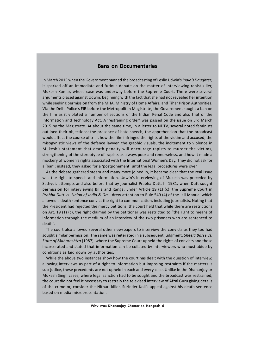#### **Bans on Documentaries**

In March 2015 when the Government banned the broadcasting of Leslie Udwin's *India's Daughter*, it sparked off an immediate and furious debate on the matter of interviewing rapist-killer, Mukesh Kumar, whose case was underway before the Supreme Court. There were several arguments placed against Udwin, beginning with the fact that she had not revealed her intention while seeking permission from the MHA, Ministry of Home Affairs, and Tihar Prison Authorities. Via the Delhi Police's FIR before the Metropolitan Magistrate, the Government sought a ban on the film as it violated a number of sections of the Indian Penal Code and also that of the Information and Technology Act. A 'restraining order' was passed on the issue on 3rd March 2015 by the Magistrate. At about the same time, in a letter to NDTV, several noted feminists outlined their objections: the presence of hate speech, the apprehension that the broadcast would affect the course of trial, how the film infringed the rights of the victim and accused, the misogynistic views of the defence lawyer, the graphic visuals, the incitement to violence in Mukesh's statement that death penalty will encourage rapists to murder the victims, strengthening of the stereotype of rapists as always poor and remorseless, and how it made a mockery of women's rights associated with the International Women's Day. They did not ask for a 'ban'; instead, they asked for a 'postponement' until the legal procedures were over.

As the debate gathered steam and many more joined in, it became clear that the real issue was the right to speech and information. Udwin's interviewing of Mukesh was preceded by Sathyu's attempts and also before that by journalist Prabha Dutt. In 1981, when Dutt sought permission for interviewing Billa and Ranga, under Article 19 (1) (c), the Supreme Court in *Prabha Dutt vs. Union of India & Ors*, drew attention to Rule 549 (4) of the Jail Manual which allowed a death sentence convict the right to communication, including journalists. Noting that the President had rejected the mercy petitions, the court held that while there are restrictions on Art. 19 (1) (c), the right claimed by the petitioner was restricted to "the right to means of information through the medium of an interview of the two prisoners who are sentenced to death".

The court also allowed several other newspapers to interview the convicts as they too had sought similar permission. The same was reiterated in a subsequent judgment, *Sheela Barse vs. State of Maharashtra* (1987), where the Supreme Court upheld the rights of convicts and those incarcerated and stated that information can be collated by interviewers who must abide by conditions as laid down by authorities.

While the above two instances show how the court has dealt with the question of interview, allowing interviews as part of a right to information but imposing restraints if the matters is sub-judice, these precedents are not upheld in each and every case. Unlike in the Dhananjoy or Mukesh Singh cases, where legal sanction had to be sought and the broadcast was restrained, the court did not feel it necessary to restrain the televised interview of Afzal Guru giving details of the crime or, consider the Nithari killer, Surinder Koli's appeal against his death sentence based on media misrepresentation.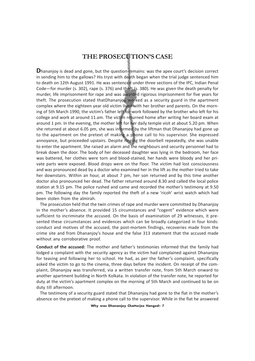## **THE PROSECUTION'S CASE**

**D**hananjoy is dead and gone, but the question remains: was the apex court's decision correct in sending him to the gallows? His tryst with death began when the trial judge sentenced him to death on 12th August 1991. He was sentenced under three sections of the IPC, Indian Penal Code—for murder (s. 302), rape (s. 376) and theft (s. 380). He was given the death penalty for murder, life imprisonment for rape and was awarded rigorous imprisonment for five years for theft. The prosecution stated thatDhananjoy worked as a security guard in the apartment complex where the eighteen year old victim lived with her brother and parents. On the morning of 5th March 1990, the victim's father left for work followed by the brother who left for his college and work at around 11.am. The victim returned home after writing her board exam at around 1 pm. In the evening, the mother left for her daily temple visit at about 5.20 pm. When she returned at about 6.05 pm, she was informed by the liftman that Dhananjoy had gone up to the apartment on the pretext of making a phone call to his supervisor. She expressed annoyance, but proceeded upstairs. Despite ringing the doorbell repeatedly, she was unable to enter the apartment. She raised an alarm and the neighbours and security personnel had to break down the door. The body of her deceased daughter was lying in the bedroom, her face was battered, her clothes were torn and blood-stained, her hands were bloody and her private parts were exposed. Blood drops were on the floor. The victim had lost consciousness and was pronounced dead by a doctor who examined her in the lift as the mother tried to take her downstairs. Within an hour, at about 7 pm, her son returned and by this time another doctor also pronounced her dead. The father returned around 8.30 and called the local police station at 9.15 pm. The police rushed and came and recorded the mother's testimony at 9.50 pm. The following day the family reported the theft of a new 'ricoh' wrist watch which had been stolen from the almirah.

The prosecution held that the twin crimes of rape and murder were committed by Dhananjoy in the mother's absence. It provided 15 circumstances and "cogent" evidence which were sufficient to incriminate the accused. On the basis of examination of 29 witnesses, it presented these circumstances and evidences which can be broadly categorized in four kinds: conduct and motives of the accused, the post-mortem findings, recoveries made from the crime site and from Dhananjoy's house and the false 313 statement that the accused made without any corroborative proof.

**Conduct of the accused:** The mother and father's testimonies informed that the family had lodged a complaint with the security agency as the victim had complained against Dhananjoy for teasing and following her to school. He had, as per the father's complaint, specifically asked the victim to go to the cinema, three days before the incident. On receipt of the complaint, Dhananjoy was transferred, via a written transfer note, from 5th March onward to another apartment building in North Kolkata. In violation of the transfer note, he reported for duty at the victim's apartment complex on the morning of 5th March and continued to be on duty till afternoon.

The testimony of a security guard stated that Dhananjoy had gone to the flat in the mother's absence on the pretext of making a phone call to the supervisor. While in the flat he answered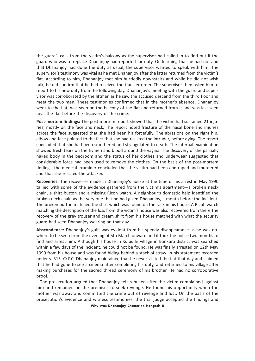the guard's calls from the victim's balcony as the supervisor had called in to find out if the guard who was to replace Dhananjoy had reported for duty. On learning that he had not and that Dhananjoy had done the duty as usual, the supervisor wanted to speak with him. The supervisor's testimony was vital as he met Dhananjoy after the latter returned from the victim's flat. According to him, Dhananjoy met him hurriedly downstairs and while he did not wish talk, he did confirm that he had received the transfer order. The supervisor then asked him to report to his new duty from the following day. Dhananjoy's meeting with the guard and supervisor was corroborated by the liftman as he saw the accused descend from the third floor and meet the two men. These testimonies confirmed that in the mother's absence, Dhananjoy went to the flat, was seen on the balcony of the flat and returned from it and was last seen near the flat before the discovery of the crime.

**Post-mortem findings:** The post-mortem report showed that the victim had sustained 21 injuries, mostly on the face and neck. The report noted fracture of the nasal bone and injuries across the face suggested that she had been hit forcefully. The abrasions on the right hip, elbow and face pointed to the fact that she had resisted the intruder, before dying. The report concluded that she had been smothered and strangulated to death. The internal examination showed fresh tears on the hymen and blood around the vagina. The discovery of the partially naked body in the bedroom and the status of her clothes and underwear suggested that considerable force had been used to remove the clothes. On the basis of the post-mortem findings, the medical examiner concluded that the victim had been and raped and murdered and that she resisted the attacker.

**Recoveries:** The recoveries made in Dhananjoy's house at the time of his arrest in May 1990 tallied with some of the evidence gathered from the victim's apartment—a broken neckchain, a shirt button and a missing Ricoh watch. A neighbour's domestic help identified the broken neck-chain as the very one that he had given Dhananjoy, a month before the incident. The broken button matched the shirt which was found on the rack in his house. A Ricoh watch matching the description of the loss from the victim's house was also recovered from there.The recovery of the grey trouser and cream shirt from his house matched with what the security guard had seen Dhananjoy wearing on that day.

**Abscondence:** Dhananjoy's guilt was evident from his speedy disappearance as he was nowhere to be seen from the evening of 5th March onward and it took the police two months to find and arrest him. Although his house in Kuludihi village in Bankura district was searched within a few days of the incident, he could not be found. He was finally arrested on 12th May 1990 from his house and was found hiding behind a stack of straw. In his statement recorded under s. 313, Cr.P.C, Dhananjoy maintained that he never visited the flat that day and claimed that he had gone to see a cinema after completing his duty, and returned to his village after making purchases for the sacred thread ceremony of his brother. He had no corroborative proof.

The prosecution argued that Dhananjoy felt rebuked after the victim complained against him and remained on the premises to seek revenge. He found his opportunity when the mother was away and committed the crime out of revenge and lust. On the basis of the prosecution's evidence and witness testimonies, the trial judge accepted the findings and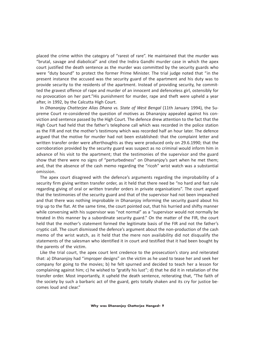placed the crime within the category of "rarest of rare". He maintained that the murder was "brutal, savage and diabolical" and cited the Indira Gandhi murder case in which the apex court justified the death sentence as the murder was committed by the security guards who were "duty bound" to protect the former Prime Minister. The trial judge noted that "in the present instance the accused was the security guard of the apartment and his duty was to provide security to the residents of the apartment. Instead of providing security, he committed the gravest offence of rape and murder of an innocent and defenceless girl, ostensibly for no provocation on her part."His punishment for murder, rape and theft were upheld a year after, in 1992, by the Calcutta High Court.

In *Dhananjay Chatterjee Alias Dhana vs. State of West Bengal* (11th January 1994), the Supreme Court re-considered the question of motives as Dhananjoy appealed against his conviction and sentence passed by the High Court. The defence drew attention to the fact that the High Court had held that the father's telephone call which was recorded in the police station as the FIR and not the mother's testimony which was recorded half an hour later. The defence argued that the motive for murder had not been established: that the complaint letter and written transfer order were afterthoughts as they were produced only on 29.6.1990; that the corroboration provided by the security guard was suspect as no criminal would inform him in advance of his visit to the apartment; that the testimonies of the supervisor and the guard show that there were no signs of "perturbedness" on Dhananjoy's part when he met them; and, that the absence of the cash memo regarding the "ricoh" wrist watch was a substantial omission.

The apex court disagreed with the defence's arguments regarding the improbability of a security firm giving written transfer order, as it held that there need be "no hard and fast rule regarding giving of oral or written transfer orders in private organisations". The court argued that the testimonies of the security guard and that of the supervisor had not been impeached and that there was nothing improbable in Dhananjoy informing the security guard about his trip up to the flat. At the same time, the court pointed out, that his hurried and shifty manner while conversing with his supervisor was "not normal" as a "supervisor would not normally be treated in this manner by a subordinate security guard." On the matter of the FIR, the court held that the mother's statement formed the legitimate basis of the FIR and not the father's cryptic call. The court dismissed the defence's argument about the non-production of the cash memo of the wrist watch, as it held that the mere non availability did not disqualify the statements of the salesman who identified it in court and testified that it had been bought by the parents of the victim.

Like the trial court, the apex court lent credence to the prosecution's story and reiterated that: a) Dhananjoy had "improper designs" on the victim as he used to tease her and seek her company for going to the movies; b) he felt spurned and decided to teach her a lesson for complaining against him; c) he wished to "gratify his lust"; d) that he did it in retaliation of the transfer order. Most importantly, it upheld the death sentence, reiterating that, "The faith of the society by such a barbaric act of the guard, gets totally shaken and its cry for justice becomes loud and clear."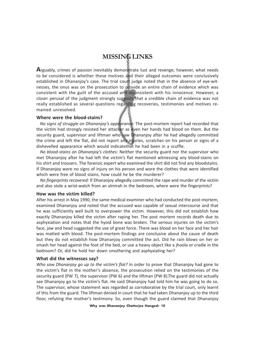## **MISSING LINKS**

**A**rguably, crimes of passion inevitably demonstrate lust and revenge; however, what needs to be considered is whether these motives and their alleged outcomes were conclusively established in Dhananjoy's case. The trial court judge noted that in the absence of eye-witnesses, the onus was on the prosecution to provide an entire chain of evidence which was consistent with the guilt of the accused and inconsistent with his innocence. However, a closer perusal of the judgment strongly suggests that a credible chain of evidence was not really established as several questions regarding recoveries, testimonies and motives remained unresolved.

#### **Where were the blood-stains?**

*No signs of struggle on Dhananjoy's appearance:* The post-mortem report had recorded that the victim had strongly resisted her attacker as even her hands had blood on them. But the security guard, supervisor and liftman who saw Dhananjoy after he had allegedly committed the crime and left the flat, did not report any injuries, scratches on his person or signs of a dishevelled appearance which would indicatethat he had been in a scuffle.

*No blood-stains on Dhananjoy's clothes:* Neither the security guard nor the supervisor who met Dhananjoy after he had left the victim's flat mentioned witnessing any blood-stains on his shirt and trousers. The forensic expert who examined the shirt did not find any bloodstains. If Dhananjoy wore no signs of injury on his person and wore the clothes that were identified which were free of blood stains, how could he be the murderer?

*No fingerprints recovered:* If Dhananjoy allegedly committed the rape and murder of the victim and also stole a wrist-watch from an almirah in the bedroom, where were the fingerprints?

#### **How was the victim killed?**

After his arrest in May 1990, the same medical examiner who had conducted the post-mortem, examined Dhananjoy and noted that the accused was capable of sexual intercourse and that he was sufficiently well built to overpower the victim. However, this did not establish how exactly Dhananjoy killed the victim after raping her. The post mortem records death due to asphyxiation and notes that the hyoid bone was broken. The serious injuries on the victim's face, jaw and head suggested the use of great force. There was blood on her face and her hair was matted with blood. The post-mortem findings are conclusive about the cause of death but they do not establish how Dhananjoy committed the act. Did he rain blows on her or smash her head against the foot of the bed, or use a heavy object like a jhoola or cradle in the bedroom? Or, did he hold her down smothering and asphyxiating her?

#### **What did the witnesses say?**

*Who saw Dhananjoy go up to the victim's flat?* In order to prove that Dhananjoy had gone to the victim's flat in the mother's absence, the prosecution relied on the testimonies of the security guard (PW 7), the supervisor (PW 6) and the liftman (PW 8).The guard did not actually see Dhananjoy go to the victim's flat. He said Dhananjoy had told him he was going to do so. The supervisor, whose statement was regarded as corroborative by the trial court, only learnt of this from the guard. The liftman denied in court that he had taken Dhananjoy up to the third floor, refuting the mother's testimony. So, even though the guard claimed that Dhananjoy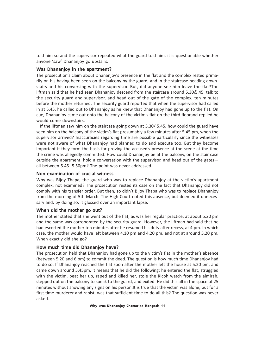told him so and the supervisor repeated what the guard told him, it is questionable whether anyone 'saw' Dhananjoy go upstairs.

#### **Was Dhananjoy in the apartment?**

The prosecution's claim about Dhananjoy's presence in the flat and the complex rested primarily on his having been seen on the balcony by the guard, and in the staircase heading downstairs and his conversing with the supervisor. But, did anyone see him leave the flat?The liftman said that he had seen Dhananjoy descend from the staircase around 5.30/5.45, talk to the security guard and supervisor, and head out of the gate of the complex, ten minutes before the mother returned. The security guard reported that when the supervisor had called in at 5.45, he called out to Dhananjoy as he knew that Dhananjoy had gone up to the flat. On cue, Dhananjoy came out onto the balcony of the victim's flat on the third floorand replied he would come downstairs.

If the liftman saw him on the staircase going down at 5.30/ 5.45, how could the guard have seen him on the balcony of the victim's flat presumably a few minutes after 5.45 pm, when the supervisor arrived? Inaccuracies regarding time are possible particularly since the witnesses were not aware of what Dhananjoy had planned to do and execute too. But they become important if they form the basis for proving the accused's presence at the scene at the time the crime was allegedly committed. How could Dhananjoy be at the balcony, on the stair case outside the apartment, hold a conversation with the supervisor, and head out of the gates all between 5.45- 5.50pm? The point was never addressed.

#### **Non examination of crucial witness**

Why was Bijoy Thapa, the guard who was to replace Dhananjoy at the victim's apartment complex, not examined? The prosecution rested its case on the fact that Dhananjoy did not comply with his transfer order. But then, so didn't Bijoy Thapa who was to replace Dhananjoy from the morning of 5th March. The High Court noted this absence, but deemed it unnecessary and, by doing so, it glossed over an important lapse.

#### **When did the mother go out?**

The mother stated that she went out of the flat, as was her regular practice, at about 5.20 pm and the same was corroborated by the security guard. However, the liftman had said that he had escorted the mother ten minutes after he resumed his duty after recess, at 4.pm. In which case, the mother would have left between 4.10 pm and 4.20 pm, and not at around 5.20 pm. When exactly did she go?

#### **How much time did Dhananjoy have?**

The prosecution held that Dhananjoy had gone up to the victim's flat in the mother's absence (between 5.20 and 6 pm) to commit the deed. The question is how much time Dhananjoy had to do so. If Dhananjoy reached the flat soon after the mother left the house at 5.20 pm, and came down around 5.45pm, it means that he did the following: he entered the flat, struggled with the victim, beat her up, raped and killed her, stole the Ricoh watch from the almirah, stepped out on the balcony to speak to the guard, and exited. He did this all in the space of 25 minutes without showing any signs on his person.It is true that the victim was alone, but for a first time murderer and rapist, was that sufficient time to do all this? The question was never asked.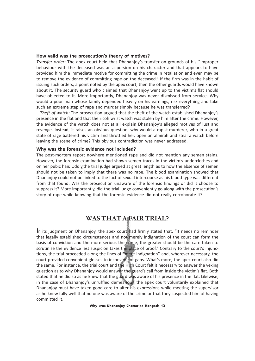#### **How valid was the prosecution's theory of motives?**

*Transfer order:* The apex court held that Dhananjoy's transfer on grounds of his "improper behaviour with the deceased was an aspersion on his character and that appears to have provided him the immediate motive for committing the crime in retaliation and even may be to remove the evidence of committing rape on the deceased." If the firm was in the habit of issuing such orders, a point noted by the apex court, then the other guards would have known about it. The security guard who claimed that Dhananjoy went up to the victim's flat should have objected to it. More importantly, Dhananjoy was never dismissed from service. Why would a poor man whose family depended heavily on his earnings, risk everything and take such an extreme step of rape and murder simply because he was transferred?

*Theft of watch:* The prosecution argued that the theft of the watch established Dhananjoy's presence in the flat and that the ricoh wrist watch was stolen by him after the crime. However, the evidence of the watch does not at all explain Dhananjoy's alleged motives of lust and revenge. Instead, it raises an obvious question: why would a rapist-murderer, who in a great state of rage battered his victim and throttled her, open an almirah and steal a watch before leaving the scene of crime? This obvious contradiction was never addressed.

#### **Why was the forensic evidence not included?**

The post-mortem report nowhere mentioned rape and did not mention any semen stains. However, the forensic examination had shown semen traces in the victim's underclothes and on her pubic hair. Oddly,the trial judge argued at great length as to how the absence of semen should not be taken to imply that there was no rape. The blood examination showed that Dhananjoy could not be linked to the fact of sexual intercourse as his blood type was different from that found. Was the prosecution unaware of the forensic findings or did it choose to suppress it? More importantly, did the trial judge conveniently go along with the prosecution's story of rape while knowing that the forensic evidence did not really corroborate it?

## WAS THAT AFAIR TRIAL?

**I**n its judgment on Dhananjoy, the apex court had firmly stated that, "It needs no reminder that legally established circumstances and not merely indignation of the court can form the basis of conviction and the more serious the crime, the greater should be the care taken to scrutinise the evidence lest suspicion takes the place of proof." Contrary to the court's injunctions, the trial proceeded along the lines of "mere indignation" and, wherever necessary, the court provided convenient glosses to inconvenient gaps. What's more, the apex court also did the same. For instance, the trial court and the High Court felt it necessary to answer the vexing question as to why Dhananjoy would answer the guard's call from inside the victim's flat. Both stated that he did so as he knew that the guard was aware of his presence in the flat. Likewise, in the case of Dhananjoy's unruffled demeanour, the apex court voluntarily explained that Dhananjoy must have taken good care to alter his expressions while meeting the supervisor as he knew fully well that no one was aware of the crime or that they suspected him of having committed it.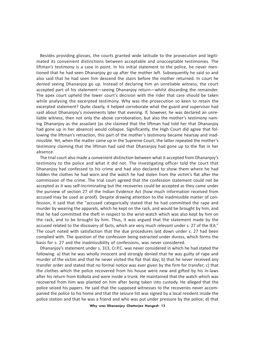Besides providing glosses, the courts granted wide latitude to the prosecution and legitimated its convenient distinctions between acceptable and unacceptable testimonies. The liftman's testimony is a case in point. In his initial statement to the police, he never mentioned that he had seen Dhananjoy go up after the mother left. Subsequently he said so and also said that he had seen him descend the stairs before the mother returned. In court he denied seeing Dhananjoy go up. Instead of declaring him an unreliable witness, the court accepted part of his statement—seeing Dhananjoy return—whilst discarding the remainder. The apex court upheld the lower court's decision with the rider that care should be taken while analysing the excerpted testimony. Why was the prosecution so keen to retain the excerpted statement? Quite clearly, it helped corroborate what the guard and supervisor had said about Dhananjoy's movements later that evening. If, however, he was declared an unreliable witness, then not only the above corroboration, but also the mother's testimony naming Dhananjoy as the assailant (as she claimed that the liftman had told her that Dhananjoy had gone up in her absence) would collapse. Significantly, the High Court did agree that following the liftman's retraction, this part of the mother's testimony became hearsay and inadmissible. Yet, when the matter came up in the Supreme Court, the latter repeated the mother's testimony claiming that the liftman had said that Dhananjoy had gone up to the flat in her absence.

The trial court also made a convenient distinction between what it accepted from Dhananjoy's testimony to the police and what it did not. The investigating officer told the court that Dhananjoy had confessed to his crime and had also declared to show them where he had hidden the clothes he had worn and the watch he had stolen from the victim's flat after the commission of the crime. The trial court agreed that the confession statement could not be accepted as it was self-incriminating but the recoveries could be accepted as they came under the purview of section 27 of the Indian Evidence Act (how much information received from accused may be used as proof). Despite drawing attention to the inadmissible matter of confession, it said that the "accused categorically stated that he had committed the rape and murder by wearing the apparels, which he kept on the rack, and would be brought by him, and that he had committed the theft in respect to the wrist-watch which was also kept by him on the rack, and to be brought by him. Thus, it was argued that the statement made by the accused related to the discovery of facts, which are very much relevant under s. 27 of the IEA." The court noted with satisfaction that the due procedures laid down under s. 27 had been complied with. The question of the confession being extracted under duress, which forms the basis for s. 27 and the inadmissibility of confessions, was never considered.

Dhananjoy's statement under s. 313, Cr.P.C. was never considered in which he had stated the following: a) that he was wholly innocent and strongly denied that he was guilty of rape and murder of the victim and that he never visited the flat that day; b) that he never received any transfer order and stated that no formal notice was ever given by the firm for transfer; c) that the clothes which the police recovered from his house were new and gifted by his in-laws after his return from Kolkota and were inside a trunk. He maintained that the watch which was recovered from him was planted on him after being taken into custody. He alleged that the police seized his papers. He said that the supposed witnesses to the recoveries never accompanied the police to his home and that the seizure list was signed by a local resident inside the police station and that he was a friend and who was put under pressure by the police; d) that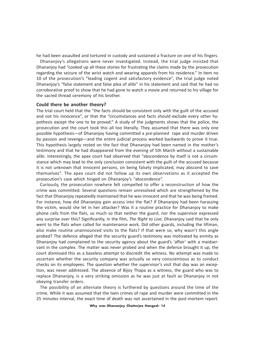he had been assaulted and tortured in custody and sustained a fracture on one of his fingers. Dhananjoy's allegations were never investigated. Instead, the trial judge insisted that Dhananjoy had "cooked up all these stories for frustrating the claims made by the prosecution regarding the seizure of the wrist watch and wearing apparels from his residence." In item no 10 of the prosecution's "leading cogent and satisfactory evidence", the trial judge noted Dhananjoy's "false statement and false plea of alibi" in his statement and said that he had no corroborative proof to show that he had gone to watch a movie and returned to his village for the sacred thread ceremony of his brother.

#### **Could there be another theory?**

The trial court held that the "the facts should be consistent only with the guilt of the accused and not his innocence", or that the "circumstances and facts should exclude every other hypothesis except the one to be proved." A study of the judgments shows that the police, the prosecution and the court took this all too literally. They assumed that there was only one possible hypothesis—of Dhananjoy having committed a pre-planned rape and murder driven by passion and revenge—and the entire judicial process worked backwards to prove it true. This hypothesis largely rested on the fact that Dhananjoy had been named in the mother's testimony and that he had disappeared from the evening of 5th March without a sustainable alibi. Interestingly, the apex court had observed that "abscondence by itself is not a circumstance which may lead to the only conclusion consistent with the guilt of the accused because it is not unknown that innocent persons, on being falsely implicated, may abscond to save themselves". The apex court did not follow up its own observations as it accepted the prosecution's case which hinged on Dhananjoy's "abscondence".

Curiously, the prosecution nowhere felt compelled to offer a reconstruction of how the crime was committed. Several questions remain unresolved which are strengthened by the fact that Dhananjoy repeatedly maintained that he was innocent and that he was being framed. For instance, how did Dhananjoy gain access into the flat? If Dhananjoy had been harassing the victim, would she let in her attacker? Was it a routine practice for Dhananjoy to make phone calls from the flats, so much so that neither the guard, nor the supervisor expressed any surprise over this? Significantly, in the film, *The Right to Live*, Dhananjoy said that he only went to the flats when called for maintenance work. Did other guards, including the liftman, also make routine unannounced visits to the flats? If that were so, why wasn't this angle probed? The defence alleged that the security guard's testimony was motivated by enmity as Dhananjoy had complained to the security agency about the guard's 'affair' with a maidservant in the complex. The matter was never probed and when the defence brought it up, the court dismissed this as a baseless attempt to discredit the witness. No attempt was made to ascertain whether the security company was actually so very conscientious as to conduct checks on its employees. The question whether the supervisor's visit that day was an exception, was never addressed. The absence of Bijoy Thapa as a witness, the guard who was to replace Dhananjoy, is a very striking omission as he was just at fault as Dhananjoy in not obeying transfer orders.

The possibility of an alternate theory is furthered by questions around the time of the crime. While it was assumed that the twin crimes of rape and murder were committed in the 25 minutes interval, the exact time of death was not ascertained in the post-mortem report.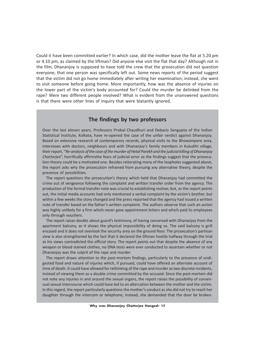Could it have been committed earlier? In which case, did the mother leave the flat at 5.20 pm or 4.10 pm, as claimed by the liftman? Did anyone else visit the flat that day? Although not in the film, Dhananjoy is supposed to have told the crew that the prosecution did not question everyone; that one person was specifically left out. Some news reports of the period suggest that the victim did not go home immediately after writing her examination; instead, she went to visit someone before going home. More importantly, how was the absence of injuries on the lower part of the victim's body accounted for? Could the murder be delinked from the rape? Were two different people involved? What is evident from the unanswered questions is that there were other lines of inquiry that were blatantly ignored.

#### **The findings by two professors**

Over the last eleven years, Professors Probal Chaudhuri and Debasis Sengupta of the Indian Statistical Institute, Kolkata, have re-opened the case of the unfair verdict against Dhananjoy. Based on extensive research of contemporary records, physical visits to the Bhowanipore area, interviews with doctors, neighbours and with Dhananjoy's family members in Kuludihi village, their report, "*Re-analysis of the case of the murder of Hetal Parekh and the judicial killing of Dhananjoy Chatterjee*", horrifically affirmsthe fears of judicial error as the findings suggest that the prosecution theory could be a motivated one. Besides reiterating many of the loopholes suggested above, the report asks why the prosecution refrained from pursuing any alternative theory, despite the presence of possibilities.

The report questions the prosecution's theory which held that Dhananjoy had committed the crime out of vengeance following the complaint and written transfer order from the agency. The production of the formal transfer note was crucial to establishing motive; but, as the report points out, the initial media accounts had only mentioned a verbal complaint by the victim's brother, but within a few weeks the story changed and the press reported that the agency had issued a written note of transfer based on the father's written complaint. The authors observe that such an action was highly unlikely for a firm which never gave appointment letters and which paid its employees only through vouchers.

The report raises doubts about guard's testimony, of having conversed with Dhananjoy from the apartment balcony, as it shows the physical impossibility of doing so. The said balcony is grill encased and it does not overlook the security area on the ground floor. The prosecution's partisan view is also strengthened by the fact that it declared the liftman hostile halfway through the trial as his views contradicted the official story. The report points out that despite the absence of any weapon or blood stained clothes, no DNA tests were ever conducted to ascertain whether or not Dhananjoy was the culprit of the rape and murder.

The report draws attention to the post-mortem findings, particularly to the presence of undigested food and nature of injuries which, if pursued, could have offered an alternate account of time of death. It could have allowed for rethinking of the rape and murder as two discrete incidents, instead of viewing them as a double crime committed by the accused. Since the post-mortem did not note any injuries in and around the sexual organs, the report raises the possibility of consensual sexual intercourse which could have led to an altercation between the mother and the victim. In this regard, the report particularly questions the mother's conduct as she did not try to reach her daughter through the intercom or telephone; instead, she demanded that the door be broken.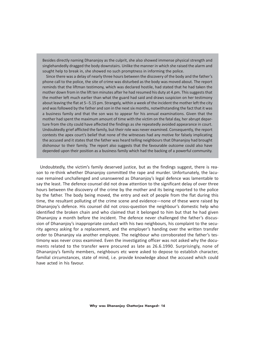Besides directly naming Dhananjoy as the culprit, she also showed immense physical strength and singlehandedly dragged the body downstairs. Unlike the manner in which she raised the alarm and sought help to break in, she showed no such promptness in informing the police.

Since there was a delay of nearly three hours between the discovery of the body and the father's phone call to the police, the site of crime was disturbed as the body was moved about. The report reminds that the liftman testimony, which was declared hostile, had stated that he had taken the mother down from in the lift ten minutes after he had resumed his duty at 4.pm. This suggests that the mother left much earlier than what the guard had said and draws suspicion on her testimony about leaving the flat at 5--5.15 pm. Strangely, within a week of the incident the mother left the city and was followed by the father and son in the next six months, notwithstanding the fact that it was a business family and that the son was to appear for his annual examinations. Given that the mother had spent the maximum amount of time with the victim on the fatal day, her abrupt departure from the city could have affected the findings as she repeatedly avoided appearance in court. Undoubtedly grief afflicted the family, but their role was never examined. Consequently, the report contests the apex court's belief that none of the witnesses had any motive for falsely implicating the accused and it states that the father was heard telling neighbours that Dhananjoy had brought dishonour to their family. The report also suggests that the favourable outcome could also have depended upon their position as a business family which had the backing of a powerful community.

Undoubtedly, the victim's family deserved justice, but as the findings suggest, there is reason to re-think whether Dhananjoy committed the rape and murder. Unfortunately, the lacunae remained unchallenged and unanswered as Dhananjoy's legal defence was lamentable to say the least. The defence counsel did not draw attention to the significant delay of over three hours between the discovery of the crime by the mother and its being reported to the police by the father. The body being moved, the entry and exit of people from the flat during this time, the resultant polluting of the crime scene and evidence—none of these were raised by Dhananjoy's defence. His counsel did not cross-question the neighbour's domestic help who identified the broken chain and who claimed that it belonged to him but that he had given Dhananjoy a month before the incident. The defence never challenged the father's discussion of Dhananjoy's inappropriate conduct with his two neighbours, his complaint to the security agency asking for a replacement, and the employer's handing over the written transfer order to Dhananjoy via another employee. The neighbour who corroborated the father's testimony was never cross examined. Even the investigating officer was not asked why the documents related to the transfer were procured as late as 26.6.1990. Surprisingly, none of Dhananjoy's family members, neighbours etc were asked to depose to establish character, familial circumstances, state of mind, i.e. provide knowledge about the accused which could have acted in his favour.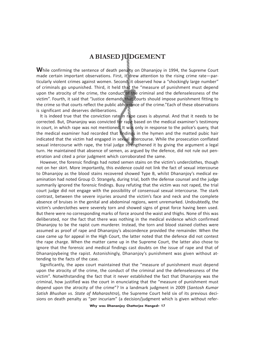## **A BIASED JUDGEMENT**

**W**hile confirming the sentence of death penalty on Dhananjoy in 1994, the Supreme Court made certain important observations. First, it drew attention to the rising crime rate—particularly violent crimes against women. Second, it observed how a "shockingly large number" of criminals go unpunished. Third, it held that the "measure of punishment must depend upon the atrocity of the crime, the conduct of the criminal and the defenselessness of the victim". Fourth, it said that "Justice demands that courts should impose punishment fitting to the crime so that courts reflect the public abhorrence of the crime."Each of these observations is significant and deserves deliberations.

It is indeed true that the conviction rate in rape cases is abysmal. And that it needs to be corrected. But, Dhananjoy was convicted for rape based on the medical examiner's testimony in court, in which rape was not mentioned. It was only in response to the police's query, that the medical examiner had recorded that findings in the hymen and the matted pubic hair indicated that the victim had engaged in sexual intercourse. While the prosecution conflated sexual intercourse with rape, the trial judge strengthened it by giving the argument a legal turn. He maintained that absence of semen, as argued by the defence, did not rule out penetration and cited a prior judgment which corroborated the same.

However, the forensic findings had noted semen stains on the victim's underclothes, though not on her skirt. More importantly, this evidence could not link the fact of sexual intercourse to Dhananjoy as the blood stains recovered showed Type B, whilst Dhananjoy's medical examination had noted Group O. Strangely, during trial, both the defense counsel and the judge summarily ignored the forensic findings. Busy refuting that the victim was not raped, the trial court judge did not engage with the possibility of consensual sexual intercourse. The stark contrast, between the severe injuries around the victim's face and neck and the complete absence of bruises in the genital and abdominal regions, went unremarked. Undoubtedly, the victim's underclothes were severely torn and showed signs of great force having been used. But there were no corresponding marks of force around the waist and thighs. None of this was deliberated, nor the fact that there was nothing in the medical evidence which confirmed Dhananjoy to be the rapist cum murderer. Instead, the torn and blood stained clothes were assumed as proof of rape and Dhananjoy's abscondence provided the remainder. When the case came up for appeal in the High Court, the latter noted that the defence did not contest the rape charge. When the matter came up in the Supreme Court, the latter also chose to ignore that the forensic and medical findings cast doubts on the issue of rape and that of Dhananjoybeing the rapist. Astonishingly, Dhananjoy's punishment was given without attending to the facts of the case.

Significantly, the apex court maintained that the "measure of punishment must depend upon the atrocity of the crime, the conduct of the criminal and the defenselessness of the victim". Notwithstanding the fact that it never established the fact that Dhananjoy was the criminal, how justified was the court in enunciating that the "measure of punishment must depend upon the atrocity of the crime"? In a landmark judgment in 2009 (*Santosh Kumar Satish Bhushan vs. State of Maharashtra*), the Supreme Court held six of its previous decisions on death penalty as "per incuriam" (a decision/judgment which is given without refer-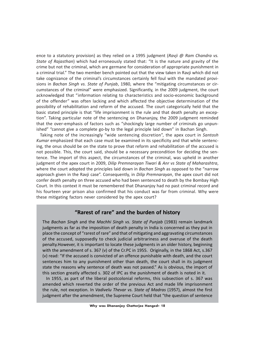ence to a statutory provision) as they relied on a 1995 judgment (*Ravji @ Ram Chandra vs. State of Rajasthan*) which had erroneously stated that: "It is the nature and gravity of the crime but not the criminal, which are germane for consideration of appropriate punishment in a criminal trial." The two member bench pointed out that the view taken in Ravji which did not take cognizance of the criminal's circumstances certainly fell foul with the mandated provisions in *Bachan Singh vs. State of Punjab*, 1980, where the "mitigating circumstances or circumstances of the criminal" were emphasized. Significantly, in the 2009 judgment, the court acknowledged that "information relating to characteristics and socio-economic background of the offender" was often lacking and which affected the objective determination of the possibility of rehabilitation and reform of the accused. The court categorically held that the basic stated principle is that "life imprisonment is the rule and that death penalty an exception". Taking particular note of the sentencing on Dhananjoy, the 2009 judgment reminded that the over-emphasis of factors such as "shockingly large number of criminals go unpunished" "cannot give a complete go-by to the legal principle laid down" in Bachan Singh.

Taking note of the increasingly "wide sentencing discretion", the apex court in *Santosh Kumar* emphasized that each case must be examined in its specificity and that while sentencing, the onus should be on the state to prove that reform and rehabilitation of the accused is not possible. This, the court said, should be a necessary precondition for deciding the sentence. The import of this aspect, the circumstances of the criminal, was upheld in another judgment of the apex court in 2009, *Dilip Premnarayan Tiwari & Anr vs State of Maharashtra*, where the court adopted the principles laid down in *Bachan Singh* as opposed to the "narrow approach given in the Ravji case". Consequently, in *Dilip Premnarayan*, the apex court did not confer death penalty on three accused who had been sentenced to death by the Bombay High Court. In this context it must be remembered that Dhananjoy had no past criminal record and his fourteen year prison also confirmed that his conduct was far from criminal. Why were these mitigating factors never considered by the apex court?

#### **"Rarest of rare" and the burden of history**

The *Bachan Singh* and the *Machhi Singh vs. State of Punjab* (1983) remain landmark judgments as far as the imposition of death penalty in India is concerned as they put in place the concept of "rarest of rare" and that of mitigating and aggravating circumstances of the accused, supposedly to check judicial arbitrariness and overuse of the death penalty.However, it is important to locate these judgments in an older history, beginning with the amendment of s. 367 (v) of the Cr.PC in 1955. Originally, in the 1868 Act, s.367 (v) read: "If the accused is convicted of an offence punishable with death, and the court sentences him to any punishment other than death, the court shall in its judgment state the reasons why sentence of death was not passed." As is obvious, the import of this section greatly affected s. 302 of IPC as the punishment of death is noted in it.

In 1955, as part of the liberal postcolonial reforms, this subsection of s. 367 was amended which reverted the order of the previous Act and made life imprisonment the rule, not exception. In *Vadivelu Thevar vs. State of Madras* (1957), almost the first judgment after the amendment, the Supreme Court held that "the question of sentence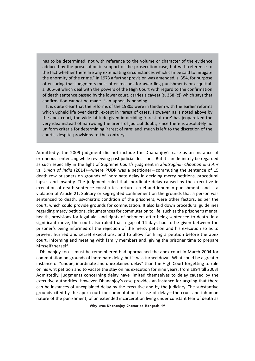has to be determined, not with reference to the volume or character of the evidence adduced by the prosecution in support of the prosecution case, but with reference to the fact whether there are any extenuating circumstances which can be said to mitigate the enormity of the crime." In 1973 a further provision was amended, s. 354, for purpose of ensuring that judgments must offer reasons for awarding punishments or acquittal. s. 366-68 which deal with the powers of the High Court with regard to the confirmation of death sentence passed by the lower court, carries a caveat (s. 368 (c)) which says that confirmation cannot be made if an appeal is pending.

It is quite clear that the reforms of the 1980s were in tandem with the earlier reforms which upheld life over death, except in 'rarest of cases'. However, as is noted above by the apex court, the wide latitude given in deciding 'rarest of rare' has jeopardized the very idea instead of narrowing the arena of judicial doubt, since there is absolutely no uniform criteria for determining 'rarest of rare' and much is left to the discretion of the courts, despite provisions to the contrary.

Admittedly, the 2009 judgment did not include the Dhananjoy's case as an instance of erroneous sentencing while reviewing past judicial decisions. But it can definitely be regarded as such especially in the light of Supreme Court's judgment in *Shatrughan Chouhan and Anr vs. Union of India* (2014)—where PUDR was a petitioner—commuting the sentence of 15 death row prisoners on grounds of inordinate delay in deciding mercy petitions, procedural lapses and insanity. The judgment ruled that inordinate delay caused by the executive in execution of death sentence constitutes torture, cruel and inhuman punishment, and is a violation of Article 21. Solitary or segregated confinement on the grounds that a person was sentenced to death, psychiatric condition of the prisoners, were other factors, as per the court, which could provide grounds for commutation. It also laid down procedural guidelines regarding mercy petitions, circumstances for commutation to life, such as the prisoner's mental health, provisions for legal aid, and rights of prisoners after being sentenced to death. In a significant move, the court also ruled that a gap of 14 days had to be given between the prisoner's being informed of the rejection of the mercy petition and his execution so as to prevent hurried and secret executions, and to allow for filing a petition before the apex court, informing and meeting with family members and, giving the prisoner time to prepare himself/herself.

Dhananjoy too it must be remembered had approached the apex court in March 2004 for commutation on grounds of inordinate delay, but it was turned down. What could be a greater instance of "undue, inordinate and unexplained delay" than the High Court forgetting to rule on his writ petition and to vacate the stay on his execution for nine years, from 1994 till 2003! Admittedly, judgments concerning delay have limited themselves to delay caused by the executive authorities. However, Dhananjoy's case provides an instance for arguing that there can be instances of unexplained delay by the executive and by the judiciary. The substantive grounds cited by the apex court for commutation in case of delay—the cruel and inhuman nature of the punishment, of an extended incarceration living under constant fear of death as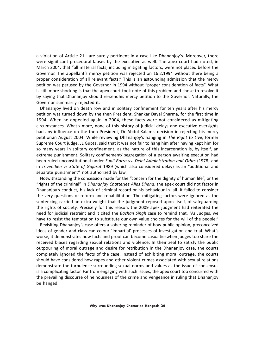a violation of Article 21—are surely pertinent in a case like Dhananjoy's. Moreover, there were significant procedural lapses by the executive as well. The apex court had noted, in March 2004, that "all material facts, including mitigating factors, were not placed before the Governor. The appellant's mercy petition was rejected on 16.2.1994 without there being a proper consideration of all relevant facts." This is an astounding admission that the mercy petition was perused by the Governor in 1994 without "proper consideration of facts". What is still more shocking is that the apex court took note of this problem and chose to resolve it by saying that Dhananjoy should re-sendhis mercy petition to the Governor. Naturally, the Governor summarily rejected it.

Dhananjoy lived on death row and in solitary confinement for ten years after his mercy petition was turned down by the then President, Shankar Dayal Sharma, for the first time in 1994. When he appealed again in 2004, these facts were not considered as mitigating circumstances. What's more, none of this history of judicial delays and executive oversights had any influence on the then President, Dr Abdul Kalam's decision in rejecting his mercy petition,in August 2004. While reviewing Dhananjoy's hanging in *The Right to Live*, former Supreme Court judge, JL Gupta, said that it was not fair to hang him after having kept him for so many years in solitary confinement, as the nature of this incarceration is, by itself, an extreme punishment. Solitary confinement/ segregation of a person awaiting execution had been ruled unconstitutional under *Sunil Batra vs. Delhi Administration and Othrs* (1978) and in *Triveniben vs State of Gujarat* 1989 (which also considered delay) as an "additional and separate punishment" not authorized by law.

Notwithstanding the concession made for the "concern for the dignity of human life", or the "rights of the criminal" in *Dhananjay Chatterjee Alias Dhana*, the apex court did not factor in Dhananjoy's conduct, his lack of criminal record or his behaviour in jail. It failed to consider the very questions of reform and rehabilitation. The mitigating factors were ignored as the sentencing carried an extra weight that the judgment reposed upon itself, of safeguarding the rights of society. Precisely for this reason, the 2009 apex judgment had reiterated the need for judicial restraint and it cited the *Bachan Singh* case to remind that, "As Judges, we have to resist the temptation to substitute our own value choices for the will of the people."

Revisiting Dhananjoy's case offers a sobering reminder of how public opinion, preconceived ideas of gender and class can colour 'impartial' processes of investigation and trial. What's worse, it demonstrates how facts and proof can become casualtieswhen judges too share the received biases regarding sexual relations and violence. In their zeal to satisfy the public outpouring of moral outrage and desire for retribution in the Dhananjoy case, the courts completely ignored the facts of the case. Instead of exhibiting moral outrage, the courts should have considered how rapes and other violent crimes associated with sexual relations demonstrate the turbulence surrounding sexual norms and values as the issue of consensus is a complicating factor. Far from engaging with such issues, the apex court too concurred with the prevailing discourse of heinousness of the crime and vengeance in ruling that Dhananjoy be hanged.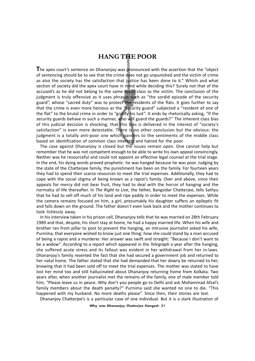## **HANG THE POOR**

**T**he apex court's sentence on Dhananjoy was pronounced with the assertion that the "object of sentencing should be to see that the crime does not go unpunished and the victim of crime as also the society has the satisfaction that justice has been done to it." Which and what section of society did the apex court have in mind while deciding this? Surely not that of the accused's as he did not belong to the same social class as the victim. The conclusion of the judgment is truly offensive as it uses phrases such as "the sordid episode of the security guard", whose "sacred duty" was to protect the residents of the flats. It goes further to say that the crime is even more heinous as the "security guard" subjected a "resident of one of the flat" to the brutal crime in order to "gratify his lust". It ends by rhetorically asking, "If the security guards behave in such a manner, who will guard the guards?" The inherent class bias of this judicial decision is shocking; that this bias is delivered in the interest of "society's satisfaction" is even more detestable. There is no other conclusion but the obvious: the judgment is a totally anti-poor one which panders to the sentiments of the middle class based on identification of common class interests and hatred for the poor.

The case against Dhananjoy is closed but the issues remain open. One cannot help but remember that he was not competent enough to be able to write his own appeal convincingly. Neither was he resourceful and could not appoint an effective legal counsel at the trial stage. In the end, his dying words proved prophetic: he was hanged because he was poor. Judging by the state of the Chatterjee family, the punishment has been on the family. For fourteen years they had to spend their scarce resources to meet the trial expenses. Additionally, they had to cope with the social stigma of being known as a rapist's family. Over and above, since their appeals for mercy did not bear fruit, they had to deal with the horror of hanging and the normalcy of life thereafter. In *The Right to Live*, the father, Bangsidar Chatterjee, tells Sathyu that he had to sell off much of his land and ripe paddy in order to meet the expenses. While the camera remains focused on him, a girl, presumably his daughter suffers an epileptic fit and falls down on the ground. The father doesn't even look back and the mother continues to look listlessly away.

In his interview taken in his prison cell, Dhananjoy tells that he was married on 28th February 1989 and that, despite, his short stay at home, he had a happy married life. When his wife and brother ran from pillar to post to prevent the hanging, an intrusive journalist asked his wife, Purnima, that everyone wished to know just one thing: how she could stand by a man accused of being a rapist and a murderer. Her answer was swift and straight: "Because I don't want to be a widow". According to a report which appeared in the *Telegraph* a year after the hanging, she suffered acute stress and its fallout was evident in her withdrawal from her in-laws. Dhananjoy's family resented the fact that she had secured a government job and returned to her natal home. The father stated that she had demanded that her dowry be returned to her, knowing that it had been sold off to meet the trial expenses. The mother was stated to have lost her mind too and still hallucinated about Dhananjoy returning home from Kolkata. Two years after, when another journalist met the remains of the family, one of male member told him, "Please leave us in peace. Why don't you people go to Delhi and ask Mohammad Afzal's family members about the death penalty?" Purnima said she wanted no one to die. "This happened with my husband. No more deaths please". Since then, their stories are lost.

Dhananjoy Chatterjee's is a particular case of one individual. But it is a stark illustration of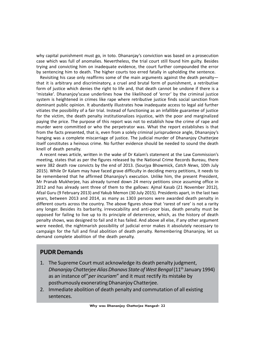why capital punishment must go, in toto. Dhananjay's conviction was based on a prosecution case which was full of anomalies. Nevertheless, the trial court still found him guilty. Besides trying and convicting him on inadequate evidence, the court further compounded the error by sentencing him to death. The higher courts too erred fatally in upholding the sentence.

Revisiting his case only reaffirms some of the main arguments against the death penalty that it is arbitrary and discriminatory, a cruel and brutal form of punishment, a retributive form of justice which denies the right to life and, that death cannot be undone if there is a 'mistake'. Dhananjoy'scase underlines how the likelihood of 'error' by the criminal justice system is heightened in crimes like rape where retributive justice finds social sanction from dominant public opinion. It abundantly illustrates how inadequate access to legal aid further vitiates the possibility of a fair trial. Instead of functioning as an infallible guarantee of justice for the victim, the death penalty institutionalizes injustice, with the poor and marginalized paying the price. The purpose of this report was not to establish how the crime of rape and murder were committed or who the perpetrator was. What the report establishes is that from the facts presented, that is, even from a solely criminal jurisprudence angle, Dhananjoy's hanging was a complete miscarriage of justice. The judicial murder of Dhananjoy Chatterjee itself constitutes a heinous crime. No further evidence should be needed to sound the death knell of death penalty.

A recent news article, written in the wake of Dr Kalam's statement at the Law Commission's meeting, states that as per the figures released by the National Crime Records Bureau, there were 382 death row convicts by the end of 2013. (Sourjya Bhowmick, *Catch News*, 10th July 2015). While Dr Kalam may have faced grave difficulty in deciding mercy petitions, it needs to be remembered that he affirmed Dhananjoy's execution. Unlike him, the present President, Mr Pranab Mukherjee, has already turned down 24 mercy petitions since assuming office in 2012 and has already sent three of them to the gallows: Ajmal Kasab (21 November 2012), Afzal Guru (9 February 2013) and Yakub Memon (30 July 2015). Presidents apart, in the last two years, between 2013 and 2014, as many as 1303 persons were awarded death penalty in different courts across the country. The above figures show that 'rarest of rare' is not a rarity any longer. Besides its barbarity, irrevocability and anti-poor bias, death penalty must be opposed for failing to live up to its principle of deterrence, which, as the history of death penalty shows, was designed to fail and it has failed. And above all else, if any other argument were needed, the nightmarish possibility of judicial error makes it absolutely necessary to campaign for the full and final abolition of death penalty. Remembering Dhananjoy, let us demand complete abolition of the death penalty.

## **PUDR Demands**

- 1. The Supreme Court must acknowledge its death penalty judgment, *Dhananjay Chatterjee Alias Dhanavs State of West Bengal* (11<sup>th</sup> January 1994) as an instance of"*per incuriam*" and it must rectify its mistake by posthumously exonerating Dhananjoy Chatterjee.
- 2. Immediate abolition of death penalty and commutation of all existing sentences.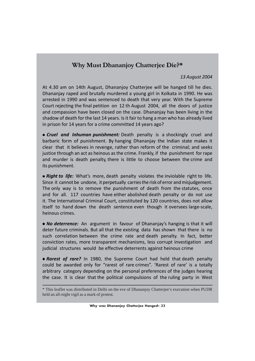## **Why Must Dhananjoy Chatterjee Die?\***

#### *13 August 2004*

At 4.30 am on 14th August, Dhananjoy Chatterjee will be hanged till he dies. Dhananjay raped and brutally murdered a young girl in Kolkata in 1990. He was arrested in 1990 and was sentenced to death that very year. With the Supreme Court rejecting the final petition on 12 th August 2004, all the doors of justice and compassion have been closed on the case. Dhananjay has been living in the shadow of death for the last 14 years. Is it fair to hang a man who has already lived in prison for 14 years for a crime committed 14 years ago?

 *Cruel and Inhuman punishment:* Death penalty is a shockingly cruel and barbaric form of punishment. By hanging Dhananjay the Indian state makes it clear that it believes in revenge, rather than reform of the criminal; and seeks justice through an act as heinous as the crime. Frankly, if the punishment for rape and murder is death penalty, there is little to choose between the crime and its punishment.

 *Right to life:* What's more, death penalty violates the inviolable right to life. Since it cannot be undone, it perpetually carries the risk of error and misjudgement. The only way is to remove the punishment of death from the statutes, once and for all. 117 countries have either abolished death penalty or do not use it. The International Criminal Court, constituted by 120 countries, does not allow itself to hand down the death sentence even though it oversees large-scale, heinous crimes.

 *No deterrence:* An argument in favour of Dhananjay's hanging is that it will deter future criminals. But all that the existing data has shown that there is no such correlation between the crime rate and death penalty. In fact, better conviction rates, more transparent mechanisms, less corrupt investigation and judicial structures would be effective deterrents against heinous crime

 *Rarest of rare?* In 1980, the Supreme Court had held that death penalty could be awarded only for "rarest of rare crimes". 'Rarest of rare' is a totally arbitrary category depending on the personal preferences of the judges hearing the case. It is clear that the political compulsions of the ruling party in West

<sup>\*</sup> This leaflet was distributed in Delhi on the eve of Dhananjoy Chatterjee's execution when PUDR held an all-night vigil as a mark of protest.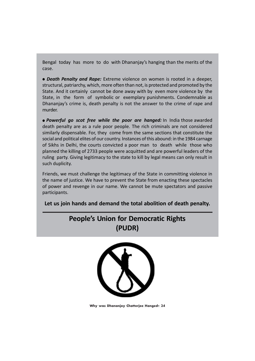Bengal today has more to do with Dhananjay's hanging than the merits of the case.

 *Death Penalty and Rape:* Extreme violence on women is rooted in a deeper, structural, patriarchy, which, more often than not, is protected and promoted by the State. And it certainly cannot be done away with by even more violence by the State, in the form of symbolic or exemplary punishments. Condemnable as Dhananjay's crime is, death penalty is not the answer to the crime of rape and murder.

 *Powerful go scot free while the poor are hanged:* In India those awarded death penalty are as a rule poor people. The rich criminals are not considered similarly dispensable. For, they come from the same sections that constitute the social and political elites of our country. Instances of this abound: in the 1984 carnage of Sikhs in Delhi, the courts convicted a poor man to death while those who planned the killing of 2733 people were acquitted and are powerful leaders of the ruling party. Giving legitimacy to the state to kill by legal means can only result in such duplicity.

Friends, we must challenge the legitimacy of the State in committing violence in the name of justice. We have to prevent the State from enacting these spectacles of power and revenge in our name. We cannot be mute spectators and passive participants.

**Let us join hands and demand the total abolition of death penalty.**





**Why was Dhananjoy Chatterjee Hanged? 24**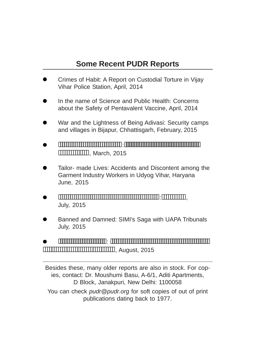## **Some Recent PUDR Reports**

- Crimes of Habit: A Report on Custodial Torture in Vijay Vihar Police Station, April, 2014
- In the name of Science and Public Health: Concerns about the Safety of Pentavalent Vaccine, April, 2014
- War and the Lightness of Being Adivasi: Security camps and villages in Bijapur, Chhattisgarh, February, 2015
- : **MARCH**, March, 2015
- Tailor- made Lives: Accidents and Discontent among the Garment Industry Workers in Udyog Vihar, Haryana June, 2015
- :, July, 2015
- Banned and Damned: SIMI's Saga with UAPA Tribunals July, 2015
- : , August, 2015

Besides these, many older reports are also in stock. For copies, contact: Dr. Moushumi Basu, A-6/1, Aditi Apartments, D Block, Janakpuri, New Delhi: 1100058 You can check *pudr@pudr.org* for soft copies of out of print publications dating back to 1977.